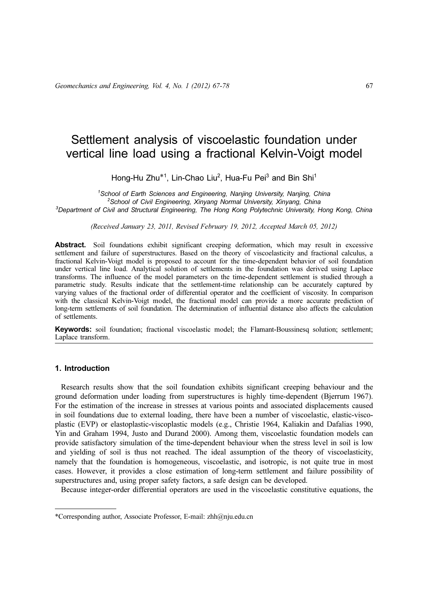# Settlement analysis of viscoelastic foundation under vertical line load using a fractional Kelvin-Voigt model

Hong-Hu Zhu<sup>\*1</sup>, Lin-Chao Liu<sup>2</sup>, Hua-Fu Pei<sup>3</sup> and Bin Shi<sup>1</sup>

<sup>1</sup>School of Earth Sciences and Engineering, Nanjing University, Nanjing, China<br><sup>2</sup>School of Civil Engineering, Yipyang Narmal University, Yipyang, China <sup>2</sup>School of Civil Engineering, Xinyang Normal University, Xinyang, China <sup>3</sup>Department of Civil and Structural Engineering, The Hong Kong Polytechnic University, Hong Kong, China

(Received January 23, 2011, Revised February 19, 2012, Accepted March 05, 2012)

Abstract. Soil foundations exhibit significant creeping deformation, which may result in excessive settlement and failure of superstructures. Based on the theory of viscoelasticity and fractional calculus, a fractional Kelvin-Voigt model is proposed to account for the time-dependent behavior of soil foundation under vertical line load. Analytical solution of settlements in the foundation was derived using Laplace transforms. The influence of the model parameters on the time-dependent settlement is studied through a parametric study. Results indicate that the settlement-time relationship can be accurately captured by varying values of the fractional order of differential operator and the coefficient of viscosity. In comparison with the classical Kelvin-Voigt model, the fractional model can provide a more accurate prediction of long-term settlements of soil foundation. The determination of influential distance also affects the calculation of settlements.

Keywords: soil foundation; fractional viscoelastic model; the Flamant-Boussinesq solution; settlement; Laplace transform.

## 1. Introduction

Research results show that the soil foundation exhibits significant creeping behaviour and the ground deformation under loading from superstructures is highly time-dependent (Bjerrum 1967). For the estimation of the increase in stresses at various points and associated displacements caused in soil foundations due to external loading, there have been a number of viscoelastic, elastic-viscoplastic (EVP) or elastoplastic-viscoplastic models (e.g., Christie 1964, Kaliakin and Dafalias 1990, Yin and Graham 1994, Justo and Durand 2000). Among them, viscoelastic foundation models can provide satisfactory simulation of the time-dependent behaviour when the stress level in soil is low and yielding of soil is thus not reached. The ideal assumption of the theory of viscoelasticity, namely that the foundation is homogeneous, viscoelastic, and isotropic, is not quite true in most cases. However, it provides a close estimation of long-term settlement and failure possibility of superstructures and, using proper safety factors, a safe design can be developed.

Because integer-order differential operators are used in the viscoelastic constitutive equations, the

<sup>\*</sup>Corresponding author, Associate Professor, E-mail: zhh@nju.edu.cn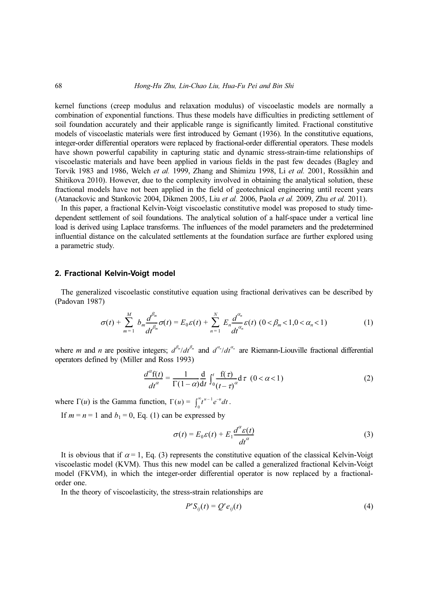kernel functions (creep modulus and relaxation modulus) of viscoelastic models are normally a combination of exponential functions. Thus these models have difficulties in predicting settlement of soil foundation accurately and their applicable range is significantly limited. Fractional constitutive models of viscoelastic materials were first introduced by Gemant (1936). In the constitutive equations, integer-order differential operators were replaced by fractional-order differential operators. These models have shown powerful capability in capturing static and dynamic stress-strain-time relationships of viscoelastic materials and have been applied in various fields in the past few decades (Bagley and Torvik 1983 and 1986, Welch et al. 1999, Zhang and Shimizu 1998, Li et al. 2001, Rossikhin and Shitikova 2010). However, due to the complexity involved in obtaining the analytical solution, these fractional models have not been applied in the field of geotechnical engineering until recent years (Atanackovic and Stankovic 2004, Dikmen 2005, Liu et al. 2006, Paola et al. 2009, Zhu et al. 2011).

In this paper, a fractional Kelvin-Voigt viscoelastic constitutive model was proposed to study timedependent settlement of soil foundations. The analytical solution of a half-space under a vertical line load is derived using Laplace transforms. The influences of the model parameters and the predetermined influential distance on the calculated settlements at the foundation surface are further explored using a parametric study.

#### 2. Fractional Kelvin-Voigt model

The generalized viscoelastic constitutive equation using fractional derivatives can be described by (Padovan 1987)

$$
\sigma(t) + \sum_{m=1}^{M} b_m \frac{d^{\beta_m}}{dt^{\beta_m}} \sigma(t) = E_0 \varepsilon(t) + \sum_{n=1}^{N} E_n \frac{d^{\alpha_n}}{dt^{\alpha_n}} \varepsilon(t) \ (0 < \beta_m < 1, 0 < \alpha_n < 1)
$$
 (1)

where *m* and *n* are positive integers;  $d^{\beta_m}/dt^{\beta_m}$  and  $d^{\alpha_n}/dt^{\alpha_n}$  are Riemann-Liouville fractional differential operators defined by (Miller and Ross 1993)

$$
\frac{d^{\alpha}\mathbf{f}(t)}{dt^{\alpha}} = \frac{1}{\Gamma(1-\alpha)} \frac{\mathbf{d}}{\mathbf{d}t} \int_{0}^{t} \frac{\mathbf{f}(\tau)}{(t-\tau)^{\alpha}} \mathbf{d}(\tau)(0 < \alpha < 1) \tag{2}
$$

where  $\Gamma(u)$  is the Gamma function,  $\Gamma(u) = \int_0^{\infty} t^{u-1} e^{-u} dt$ .

If  $m = n = 1$  and  $b_1 = 0$ , Eq. (1) can be expressed by

$$
\sigma(t) = E_0 \varepsilon(t) + E_1 \frac{d^{\alpha} \varepsilon(t)}{dt^{\alpha}}
$$
\n(3)

It is obvious that if  $\alpha = 1$ , Eq. (3) represents the constitutive equation of the classical Kelvin-Voigt viscoelastic model (KVM). Thus this new model can be called a generalized fractional Kelvin-Voigt model (FKVM), in which the integer-order differential operator is now replaced by a fractionalorder one.

In the theory of viscoelasticity, the stress-strain relationships are

$$
P'S_{ij}(t) = Q'e_{ij}(t)
$$
\n(4)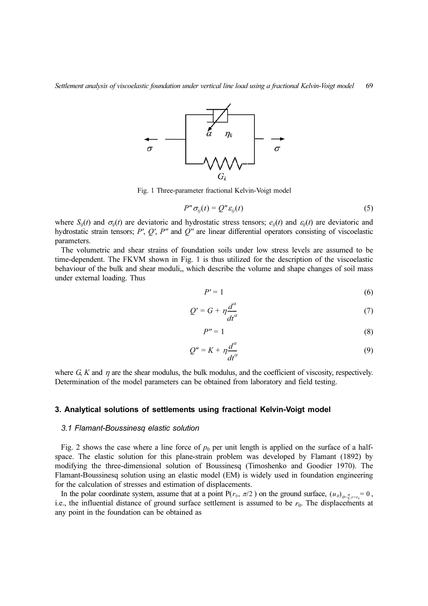

Fig. 1 Three-parameter fractional Kelvin-Voigt model

$$
P'' \sigma_{ij}(t) = Q'' \varepsilon_{ij}(t) \tag{5}
$$

where  $S_{ij}(t)$  and  $\sigma_{ij}(t)$  are deviatoric and hydrostatic stress tensors;  $e_{ij}(t)$  and  $\varepsilon_{ij}(t)$  are deviatoric and hydrostatic strain tensors;  $P'$ ,  $Q'$ ,  $P''$  and  $Q''$  are linear differential operators consisting of viscoelastic parameters.

The volumetric and shear strains of foundation soils under low stress levels are assumed to be time-dependent. The FKVM shown in Fig. 1 is thus utilized for the description of the viscoelastic behaviour of the bulk and shear moduli,, which describe the volume and shape changes of soil mass under external loading. Thus

$$
P'=1\tag{6}
$$

$$
Q' = G + \eta \frac{d^{\alpha}}{dt^{\alpha}} \tag{7}
$$

$$
P'' = 1 \tag{8}
$$

$$
Q'' = K + \eta \frac{d^{\alpha}}{dt^{\alpha}}
$$
 (9)

where  $G$ , K and  $\eta$  are the shear modulus, the bulk modulus, and the coefficient of viscosity, respectively. Determination of the model parameters can be obtained from laboratory and field testing.

#### 3. Analytical solutions of settlements using fractional Kelvin-Voigt model

#### 3.1 Flamant-Boussinesq elastic solution

Fig. 2 shows the case where a line force of  $p_0$  per unit length is applied on the surface of a halfspace. The elastic solution for this plane-strain problem was developed by Flamant (1892) by modifying the three-dimensional solution of Boussinesq (Timoshenko and Goodier 1970). The Flamant-Boussinesq solution using an elastic model (EM) is widely used in foundation engineering for the calculation of stresses and estimation of displacements.

In the polar coordinate system, assume that at a point  $P(r_0, \pi/2)$  on the ground surface,  $(u_\theta)_{\theta=\frac{\pi}{2}, r=r_0} = 0$ , i.e., the influential distance of ground surface settlement is assumed to be  $r_0$ . The displacements at any point in the foundation can be obtained as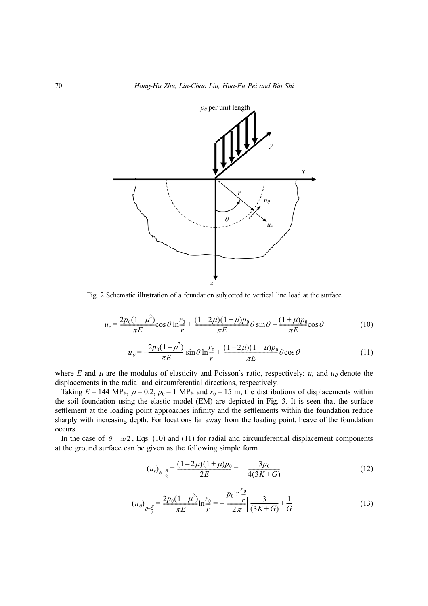

Fig. 2 Schematic illustration of a foundation subjected to vertical line load at the surface

$$
u_r = \frac{2p_0(1-\mu^2)}{\pi E} \cos \theta \ln \frac{r_0}{r} + \frac{(1-2\mu)(1+\mu)p_0}{\pi E} \theta \sin \theta - \frac{(1+\mu)p_0}{\pi E} \cos \theta \tag{10}
$$

$$
u_{\theta} = -\frac{2p_0(1-\mu^2)}{\pi E} \sin \theta \ln \frac{r_0}{r} + \frac{(1-2\mu)(1+\mu)p_0}{\pi E} \theta \cos \theta \tag{11}
$$

where E and  $\mu$  are the modulus of elasticity and Poisson's ratio, respectively;  $u_r$  and  $u_\theta$  denote the displacements in the radial and circumferential directions, respectively.

Taking  $E = 144$  MPa,  $\mu = 0.2$ ,  $p_0 = 1$  MPa and  $r_0 = 15$  m, the distributions of displacements within the soil foundation using the elastic model (EM) are depicted in Fig. 3. It is seen that the surface settlement at the loading point approaches infinity and the settlements within the foundation reduce sharply with increasing depth. For locations far away from the loading point, heave of the foundation occurs.

In the case of  $\theta = \pi/2$ , Eqs. (10) and (11) for radial and circumferential displacement components at the ground surface can be given as the following simple form

$$
(u_r)_{\theta = \frac{\pi}{2}} = \frac{(1 - 2\mu)(1 + \mu)p_0}{2E} = -\frac{3p_0}{4(3K + G)}
$$
(12)

$$
(u_{\theta})_{\theta = \frac{\pi}{2}} = \frac{2p_0(1 - \mu^2)}{\pi E} \ln \frac{r_0}{r} = -\frac{p_0 \ln \frac{r_0}{r}}{2\pi} \left[ \frac{3}{(3K + G)} + \frac{1}{G} \right]
$$
(13)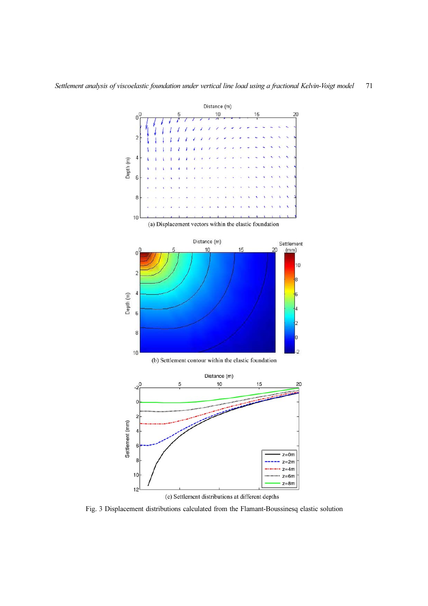

(c) Settlement distributions at different depths

Fig. 3 Displacement distributions calculated from the Flamant-Boussinesq elastic solution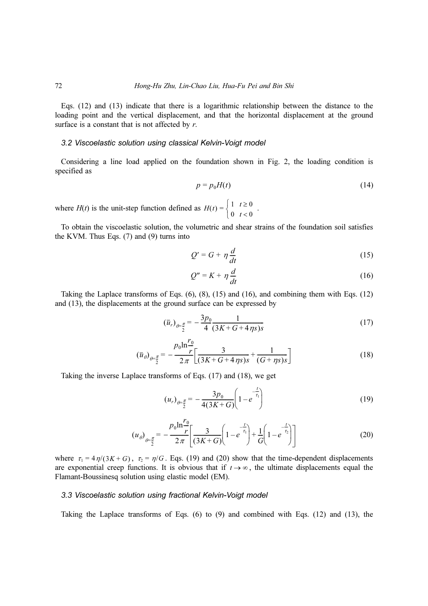Eqs. (12) and (13) indicate that there is a logarithmic relationship between the distance to the loading point and the vertical displacement, and that the horizontal displacement at the ground surface is a constant that is not affected by  $r$ .

### 3.2 Viscoelastic solution using classical Kelvin-Voigt model

Considering a line load applied on the foundation shown in Fig. 2, the loading condition is specified as

$$
p = p_0 H(t) \tag{14}
$$

where  $H(t)$  is the unit-step function defined as  $H(t) = \begin{cases} 1 & t \ge 0 \\ 0 & t < 0 \end{cases}$ .  $\int$ 

To obtain the viscoelastic solution, the volumetric and shear strains of the foundation soil satisfies the KVM. Thus Eqs. (7) and (9) turns into

$$
Q' = G + \eta \frac{d}{dt} \tag{15}
$$

$$
Q'' = K + \eta \frac{d}{dt} \tag{16}
$$

Taking the Laplace transforms of Eqs. (6), (8), (15) and (16), and combining them with Eqs. (12) and (13), the displacements at the ground surface can be expressed by

$$
(\overline{u}_r)_{\theta = \frac{\pi}{2}} = -\frac{3p_0}{4} \frac{1}{(3K + G + 4\eta s)s}
$$
(17)

$$
\left(\overline{u}_{\theta}\right)_{\theta=\frac{\pi}{2}} = -\frac{p_0 \ln \frac{r_0}{r}}{2\pi} \left[ \frac{3}{(3K+G+4\eta s)s} + \frac{1}{(G+\eta s)s} \right]
$$
(18)

Taking the inverse Laplace transforms of Eqs. (17) and (18), we get

$$
(u_r)_{\theta = \frac{\pi}{2}} = -\frac{3p_0}{4(3K+G)} \left(1 - e^{-\frac{t}{\tau_1}}\right)
$$
(19)

$$
(u_{\theta})_{\theta = \frac{\pi}{2}} = -\frac{p_0 \ln \frac{r_0}{r}}{2\pi} \left[ \frac{3}{(3K+G)} \left( 1 - e^{-\frac{t}{\tau_1}} \right) + \frac{1}{G} \left( 1 - e^{-\frac{t}{\tau_2}} \right) \right]
$$
(20)

where  $\tau_1 = 4\eta/(3K + G)$ ,  $\tau_2 = \eta/G$ . Eqs. (19) and (20) show that the time-dependent displacements are exponential creep functions. It is obvious that if  $t \rightarrow \infty$ , the ultimate displacements equal the Flamant-Boussinesq solution using elastic model (EM).

#### 3.3 Viscoelastic solution using fractional Kelvin-Voigt model

Taking the Laplace transforms of Eqs.  $(6)$  to  $(9)$  and combined with Eqs.  $(12)$  and  $(13)$ , the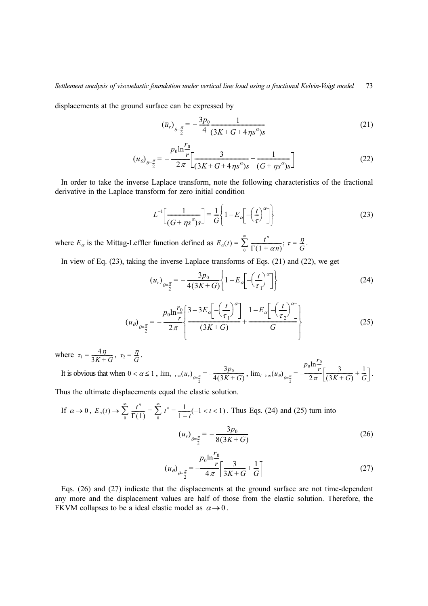displacements at the ground surface can be expressed by

$$
\left(\overline{u}_r\right)_{\theta = \frac{\pi}{2}} = -\frac{3p_0}{4} \frac{1}{(3K + G + 4\eta s^{\alpha})s} \tag{21}
$$

$$
(\bar{u}_{\theta})_{\theta = \frac{\pi}{2}} = -\frac{p_0 \ln \frac{r_0}{r}}{2\pi} \left[ \frac{3}{(3K + G + 4\eta s^{\alpha})s} + \frac{1}{(G + \eta s^{\alpha})s} \right]
$$
(22)

In order to take the inverse Laplace transform, note the following characteristics of the fractional derivative in the Laplace transform for zero initial condition

$$
L^{-1}\left[\frac{1}{(G + \eta s^{\alpha})s}\right] = \frac{1}{G} \left\{ 1 - E_{\alpha} \left[ -\left(\frac{t}{\tau}\right)^{\alpha} \right] \right\}
$$
(23)

where  $E_{\alpha}$  is the Mittag-Leffler function defined as  $E_{\alpha}(t) = \sum_{0} \frac{t^{n}}{\Gamma(1 + \alpha n)}$ ;  $\tau = \frac{\eta}{G}$ .  $\sum_{r=1}^{\infty} \frac{t^n}{\Gamma(1+r)}$  $\frac{t^n}{\Gamma(1+\alpha n)}$ ;  $\tau = \frac{\eta}{G}$ 

In view of Eq. (23), taking the inverse Laplace transforms of Eqs. (21) and (22), we get

$$
(u_r)_{\theta = \frac{\pi}{2}} = -\frac{3p_0}{4(3K+G)} \left\{ 1 - E_\alpha \left[ -\left(\frac{t}{\tau_1}\right)^\alpha \right] \right\} \tag{24}
$$

$$
\left(u_{\theta}\right)_{\theta=\frac{\pi}{2}} = -\frac{p_0 \ln \frac{r_0}{r}}{2\pi} \left\{ \frac{3-3E_{\alpha}\left[-\left(\frac{t}{\tau_1}\right)^{\alpha}\right]}{(3K+G)} + \frac{1-E_{\alpha}\left[-\left(\frac{t}{\tau_2}\right)^{\alpha}\right]}{G} \right\}
$$
\n(25)

where  $\tau_1 = \frac{4\eta}{3K + G}$ ,  $\tau_2 = \frac{\eta}{G}$ . G

It is obvious that when  $0 < \alpha \leq 1$ ,  $\lim_{t\to\infty}(u_t)_{t\in\mathbb{R}} = \frac{P_0}{4(2K+\epsilon)}$ ,  $\lim_{t\to\infty}(u_\theta)_{t\in\mathbb{R}} = \frac{P_0}{2\epsilon} \left| \frac{P_0}{(2K+\epsilon)} + \frac{1}{\epsilon} \right|$ .  $0 < \alpha \leq 1$ ,  $\lim_{t \to \infty} (u_r)_{\theta = \frac{\pi}{2}} = -\frac{3p_0}{4(3K+G)}, \lim_{t \to \infty} (u_\theta)_{\theta = \frac{\pi}{2}} =$  $-\frac{p_0 \ln \frac{r_0}{r}}{2\pi} \left[ \frac{3}{(3K+G)} + \frac{1}{G} \right]$ 

Thus the ultimate displacements equal the elastic solution.

If 
$$
\alpha \to 0
$$
,  $E_{\alpha}(t) \to \sum_{0}^{\infty} \frac{t^n}{\Gamma(1)} = \sum_{0}^{\infty} t^n = \frac{1}{1-t}(-1 < t < 1)$ . Thus Eqs. (24) and (25) turn into  
\n
$$
(u_r)_{\theta = \frac{\pi}{2}} = -\frac{3p_0}{8(3K + G)}
$$
\n(26)

$$
(u_{\theta})_{\theta = \frac{\pi}{2}} = -\frac{p_0 \ln \frac{r_0}{r}}{4\pi} \left[ \frac{3}{3K + G} + \frac{1}{G} \right]
$$
 (27)

Eqs. (26) and (27) indicate that the displacements at the ground surface are not time-dependent any more and the displacement values are half of those from the elastic solution. Therefore, the FKVM collapses to be a ideal elastic model as  $\alpha \rightarrow 0$ .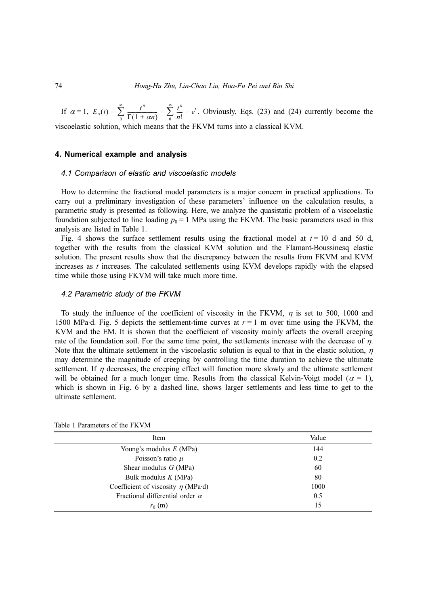If  $\alpha = 1$ ,  $E_{\alpha}(t) = \sum_{0}^{t} \frac{t}{\Gamma(1 + \alpha n)} = \sum_{0}^{t} \frac{t}{n!} = e^{t}$ . Obviously, Eqs. (23) and (24) currently become the viscoelastic solution, which means that the FKVM turns into a classical KVM.  $\sum_{r=1}^{\infty} \frac{t^n}{r}$  $\frac{1}{\Gamma(1 + \alpha n)} = \sum_{n=0}$  $\sum_{n=1}^{\infty} \frac{t^n}{t^n}$  $\frac{t^{\prime\prime}}{n!}=e^{t}$ 

## 4. Numerical example and analysis

#### 4.1 Comparison of elastic and viscoelastic models

How to determine the fractional model parameters is a major concern in practical applications. To carry out a preliminary investigation of these parameters' influence on the calculation results, a parametric study is presented as following. Here, we analyze the quasistatic problem of a viscoelastic foundation subjected to line loading  $p_0 = 1$  MPa using the FKVM. The basic parameters used in this analysis are listed in Table 1.

Fig. 4 shows the surface settlement results using the fractional model at  $t = 10$  d and 50 d, together with the results from the classical KVM solution and the Flamant-Boussinesq elastic solution. The present results show that the discrepancy between the results from FKVM and KVM increases as  $t$  increases. The calculated settlements using KVM develops rapidly with the elapsed time while those using FKVM will take much more time.

#### 4.2 Parametric study of the FKVM

To study the influence of the coefficient of viscosity in the FKVM,  $\eta$  is set to 500, 1000 and 1500 MPa·d. Fig. 5 depicts the settlement-time curves at  $r = 1$  m over time using the FKVM, the KVM and the EM. It is shown that the coefficient of viscosity mainly affects the overall creeping rate of the foundation soil. For the same time point, the settlements increase with the decrease of  $\eta$ . Note that the ultimate settlement in the viscoelastic solution is equal to that in the elastic solution,  $\eta$ may determine the magnitude of creeping by controlling the time duration to achieve the ultimate settlement. If  $\eta$  decreases, the creeping effect will function more slowly and the ultimate settlement will be obtained for a much longer time. Results from the classical Kelvin-Voigt model ( $\alpha = 1$ ), which is shown in Fig. 6 by a dashed line, shows larger settlements and less time to get to the ultimate settlement.

| Item                                    | Value |
|-----------------------------------------|-------|
| Young's modulus $E$ (MPa)               | 144   |
| Poisson's ratio $\mu$                   | 0.2   |
| Shear modulus $G$ (MPa)                 | 60    |
| Bulk modulus $K(MPa)$                   | 80    |
| Coefficient of viscosity $\eta$ (MPa·d) | 1000  |
| Fractional differential order $\alpha$  | 0.5   |
| $r_0$ (m)                               | 15    |

#### Table 1 Parameters of the FKVM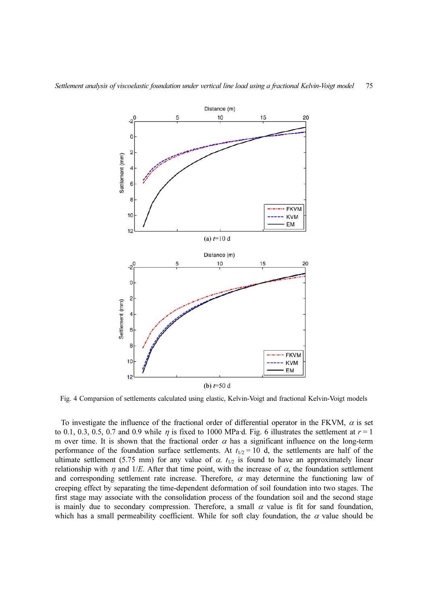

Fig. 4 Comparsion of settlements calculated using elastic, Kelvin-Voigt and fractional Kelvin-Voigt models

To investigate the influence of the fractional order of differential operator in the FKVM,  $\alpha$  is set to 0.1, 0.3, 0.5, 0.7 and 0.9 while  $\eta$  is fixed to 1000 MPa·d. Fig. 6 illustrates the settlement at  $r = 1$ m over time. It is shown that the fractional order  $\alpha$  has a significant influence on the long-term performance of the foundation surface settlements. At  $t_{1/2} = 10$  d, the settlements are half of the ultimate settlement (5.75 mm) for any value of  $\alpha$ .  $t_{1/2}$  is found to have an approximately linear relationship with  $\eta$  and 1/E. After that time point, with the increase of  $\alpha$ , the foundation settlement and corresponding settlement rate increase. Therefore,  $\alpha$  may determine the functioning law of creeping effect by separating the time-dependent deformation of soil foundation into two stages. The first stage may associate with the consolidation process of the foundation soil and the second stage is mainly due to secondary compression. Therefore, a small  $\alpha$  value is fit for sand foundation, which has a small permeability coefficient. While for soft clay foundation, the  $\alpha$  value should be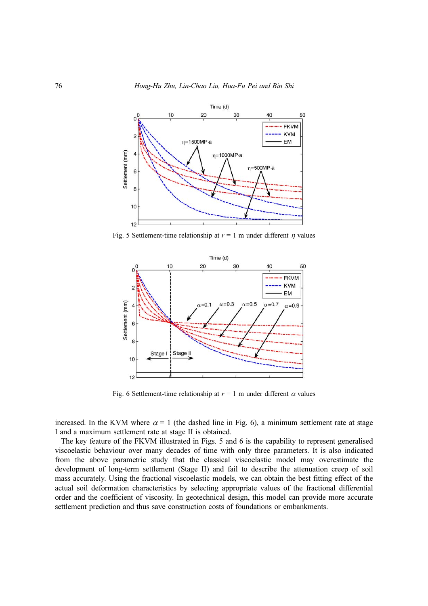

Fig. 5 Settlement-time relationship at  $r = 1$  m under different  $\eta$  values



Fig. 6 Settlement-time relationship at  $r = 1$  m under different  $\alpha$  values

increased. In the KVM where  $\alpha = 1$  (the dashed line in Fig. 6), a minimum settlement rate at stage I and a maximum settlement rate at stage II is obtained.

The key feature of the FKVM illustrated in Figs. 5 and 6 is the capability to represent generalised viscoelastic behaviour over many decades of time with only three parameters. It is also indicated from the above parametric study that the classical viscoelastic model may overestimate the development of long-term settlement (Stage II) and fail to describe the attenuation creep of soil mass accurately. Using the fractional viscoelastic models, we can obtain the best fitting effect of the actual soil deformation characteristics by selecting appropriate values of the fractional differential order and the coefficient of viscosity. In geotechnical design, this model can provide more accurate settlement prediction and thus save construction costs of foundations or embankments.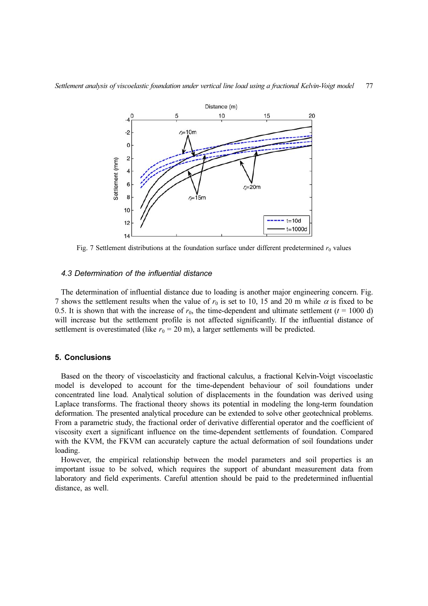

Fig. 7 Settlement distributions at the foundation surface under different predetermined  $r_0$  values

## 4.3 Determination of the influential distance

The determination of influential distance due to loading is another major engineering concern. Fig. 7 shows the settlement results when the value of  $r_0$  is set to 10, 15 and 20 m while  $\alpha$  is fixed to be 0.5. It is shown that with the increase of  $r_0$ , the time-dependent and ultimate settlement ( $t = 1000$  d) will increase but the settlement profile is not affected significantly. If the influential distance of settlement is overestimated (like  $r_0 = 20$  m), a larger settlements will be predicted.

#### 5. Conclusions

Based on the theory of viscoelasticity and fractional calculus, a fractional Kelvin-Voigt viscoelastic model is developed to account for the time-dependent behaviour of soil foundations under concentrated line load. Analytical solution of displacements in the foundation was derived using Laplace transforms. The fractional theory shows its potential in modeling the long-term foundation deformation. The presented analytical procedure can be extended to solve other geotechnical problems. From a parametric study, the fractional order of derivative differential operator and the coefficient of viscosity exert a significant influence on the time-dependent settlements of foundation. Compared with the KVM, the FKVM can accurately capture the actual deformation of soil foundations under loading.

However, the empirical relationship between the model parameters and soil properties is an important issue to be solved, which requires the support of abundant measurement data from laboratory and field experiments. Careful attention should be paid to the predetermined influential distance, as well.